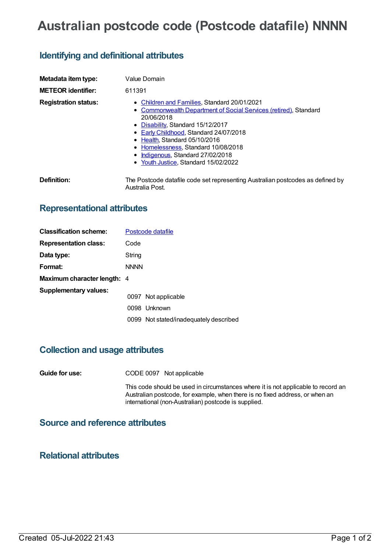# **Australian postcode code (Postcode datafile) NNNN**

## **Identifying and definitional attributes**

| Metadata item type:         | Value Domain                                                                                                                                                                                                                                                                                                                                                       |  |  |
|-----------------------------|--------------------------------------------------------------------------------------------------------------------------------------------------------------------------------------------------------------------------------------------------------------------------------------------------------------------------------------------------------------------|--|--|
| <b>METEOR identifier:</b>   | 611391                                                                                                                                                                                                                                                                                                                                                             |  |  |
| <b>Registration status:</b> | • Children and Families, Standard 20/01/2021<br>• Commonwealth Department of Social Services (retired), Standard<br>20/06/2018<br>• Disability, Standard 15/12/2017<br>• Early Childhood, Standard 24/07/2018<br>• Health, Standard 05/10/2016<br>• Homelessness, Standard 10/08/2018<br>• Indigenous, Standard 27/02/2018<br>• Youth Justice, Standard 15/02/2022 |  |  |
| Definition:                 | The Postcode datafile code set representing Australian postcodes as defined by<br>Australia Post.                                                                                                                                                                                                                                                                  |  |  |

### **Representational attributes**

| <b>Classification scheme:</b>      | Postcode datafile |                                        |  |
|------------------------------------|-------------------|----------------------------------------|--|
| <b>Representation class:</b>       | Code              |                                        |  |
| Data type:                         | String            |                                        |  |
| Format:                            | <b>NNNN</b>       |                                        |  |
| <b>Maximum character length: 4</b> |                   |                                        |  |
| <b>Supplementary values:</b>       |                   | 0097 Not applicable                    |  |
|                                    |                   | 0098 Unknown                           |  |
|                                    |                   | 0099 Not stated/inadequately described |  |

#### **Collection and usage attributes**

**Guide for use:** CODE 0097 Not applicable

This code should be used in circumstances where it is not applicable to record an Australian postcode, for example, when there is no fixed address, or when an international (non-Australian) postcode is supplied.

### **Source and reference attributes**

#### **Relational attributes**